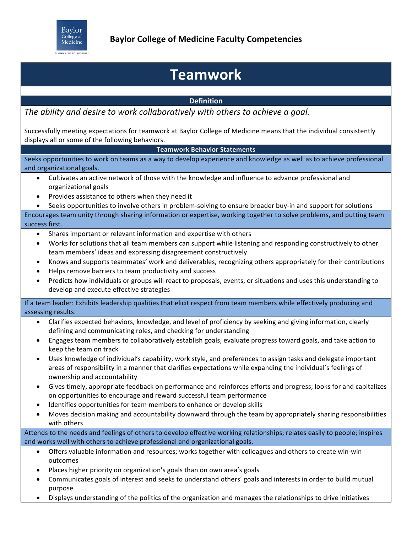

## **Teamwork**

## **Definition**

The ability and desire to work collaboratively with others to achieve a goal.

Successfully meeting expectations for teamwork at Baylor College of Medicine means that the individual consistently displays all or some of the following behaviors.

## **Teamwork Behavior Statements**

Seeks opportunities to work on teams as a way to develop experience and knowledge as well as to achieve professional and organizational goals.

- Cultivates an active network of those with the knowledge and influence to advance professional and organizational goals
- Provides assistance to others when they need it
- Seeks opportunities to involve others in problem-solving to ensure broader buy-in and support for solutions

Encourages team unity through sharing information or expertise, working together to solve problems, and putting team success first.

- Shares important or relevant information and expertise with others
- Works for solutions that all team members can support while listening and responding constructively to other team members' ideas and expressing disagreement constructively
- Knows and supports teammates' work and deliverables, recognizing others appropriately for their contributions
- Helps remove barriers to team productivity and success
- Predicts how individuals or groups will react to proposals, events, or situations and uses this understanding to develop and execute effective strategies

If a team leader: Exhibits leadership qualities that elicit respect from team members while effectively producing and assessing results.

- Clarifies expected behaviors, knowledge, and level of proficiency by seeking and giving information, clearly defining and communicating roles, and checking for understanding
- Engages team members to collaboratively establish goals, evaluate progress toward goals, and take action to keep the team on track
- Uses knowledge of individual's capability, work style, and preferences to assign tasks and delegate important areas of responsibility in a manner that clarifies expectations while expanding the individual's feelings of ownership and accountability
- Gives timely, appropriate feedback on performance and reinforces efforts and progress; looks for and capitalizes on opportunities to encourage and reward successful team performance
- Identifies opportunities for team members to enhance or develop skills
- Moves decision making and accountability downward through the team by appropriately sharing responsibilities with others

Attends to the needs and feelings of others to develop effective working relationships; relates easily to people; inspires and works well with others to achieve professional and organizational goals.

- Offers valuable information and resources; works together with colleagues and others to create win-win outcomes
- Places higher priority on organization's goals than on own area's goals
- Communicates goals of interest and seeks to understand others' goals and interests in order to build mutual purpose
- Displays understanding of the politics of the organization and manages the relationships to drive initiatives